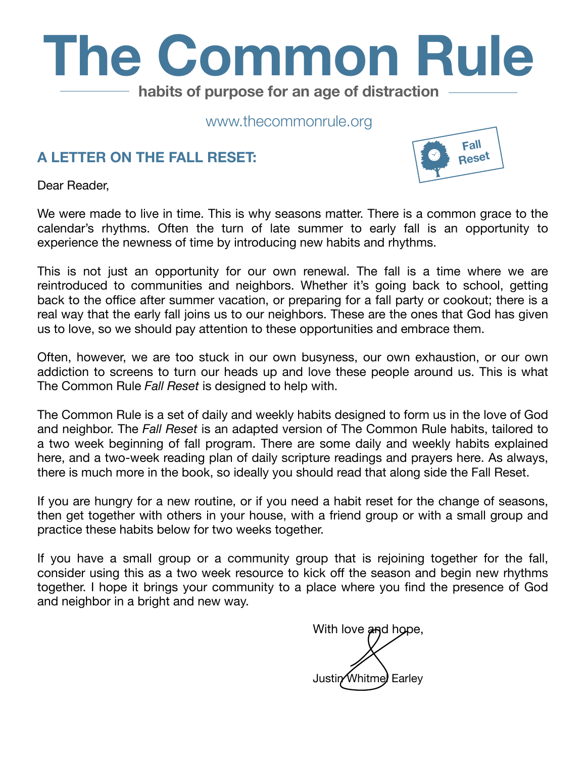

www.thecommonrule.org

#### **A LETTER ON THE FALL RESET:**



Dear Reader,

We were made to live in time. This is why seasons matter. There is a common grace to the calendar's rhythms. Often the turn of late summer to early fall is an opportunity to experience the newness of time by introducing new habits and rhythms.

This is not just an opportunity for our own renewal. The fall is a time where we are reintroduced to communities and neighbors. Whether it's going back to school, getting back to the office after summer vacation, or preparing for a fall party or cookout; there is a real way that the early fall joins us to our neighbors. These are the ones that God has given us to love, so we should pay attention to these opportunities and embrace them.

Often, however, we are too stuck in our own busyness, our own exhaustion, or our own addiction to screens to turn our heads up and love these people around us. This is what The Common Rule *Fall Reset* is designed to help with.

The Common Rule is a set of daily and weekly habits designed to form us in the love of God and neighbor. The *Fall Reset* is an adapted version of The Common Rule habits, tailored to a two week beginning of fall program. There are some daily and weekly habits explained here, and a two-week reading plan of daily scripture readings and prayers here. As always, there is much more in [the book](https://www.amazon.com/gp/product/0830845607?pf_rd_p=c2945051-950f-485c-b4df-15aac5223b10&pf_rd_r=14HNRTMEQ9KN1XYMMFTW), so ideally you should read that along side the Fall Reset.

If you are hungry for a new routine, or if you need a habit reset for the change of seasons, then get together with others in your house, with a friend group or with a small group and practice these habits below for two weeks together.

If you have a small group or a community group that is rejoining together for the fall, consider using this as a two week resource to kick off the season and begin new rhythms together. I hope it brings your community to a place where you find the presence of God and neighbor in a bright and new way.

With love and hope, Justin Whitme Earley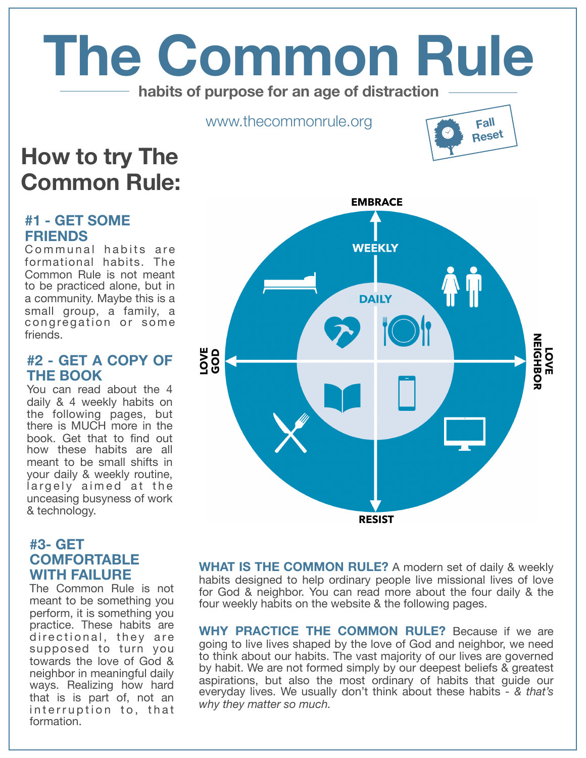# **The Common Rule habits of purpose for an age of distraction**

www.thecommonrule.org

# **Fall Reset**

## **How to try The Common Rule:**

#### **#1 - GET SOME FRIENDS**

Communal habits are formational habits. The Common Rule is not meant to be practiced alone, but in a community. Maybe this is a small group, a family, a congregation or some friends.

#### **[#2 - GET A COPY OF](https://www.amazon.com/gp/product/0830845607?pf_rd_p=c2945051-950f-485c-b4df-15aac5223b10&pf_rd_r=14HNRTMEQ9KN1XYMMFTW) THE BOOK**

You can read about the 4 daily & 4 weekly habits on the following pages, but there is MUCH more in the book. Get that to find out how these habits are all meant to be small shifts in your daily & weekly routine, largely aimed at the unceasing busyness of work & technology.

#### **#3- GET COMFORTABLE WITH FAILURE**

The Common Rule is not meant to be something you perform, it is something you practice. These habits are directional, they are supposed to turn you towards the love of God & neighbor in meaningful daily ways. Realizing how hard that is is part of, not an interruption to, that formation.



**WHAT IS THE COMMON RULE?** A modern set of daily & weekly habits designed to help ordinary people live missional lives of love for God & neighbor. You can read more about the four daily & the four weekly habits on the website & the following pages.

**WHY PRACTICE THE COMMON RULE?** Because if we are going to live lives shaped by the love of God and neighbor, we need to think about our habits. The vast majority of our lives are governed by habit. We are not formed simply by our deepest beliefs & greatest aspirations, but also the most ordinary of habits that guide our everyday lives. We usually don't think about these habits - *& that's why they matter so much.*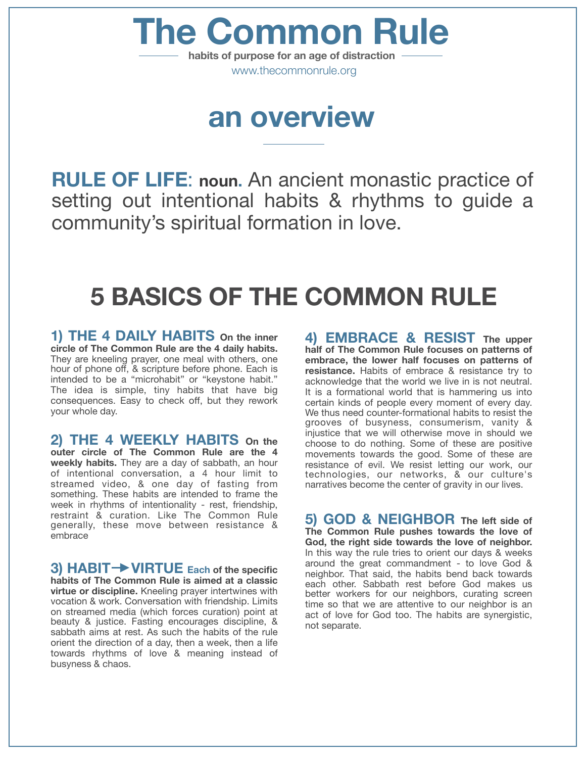www.thecommonrule.org **The Common Rule habits of purpose for an age of distraction**

# **an overview**

**RULE OF LIFE**: **noun.** An ancient monastic practice of setting out intentional habits & rhythms to guide a community's spiritual formation in love.

# **5 BASICS OF THE COMMON RULE**

**1) THE 4 DAILY HABITS On the inner circle of The Common Rule are the 4 daily habits.** They are kneeling prayer, one meal with others, one hour of phone off, & scripture before phone. Each is intended to be a "microhabit" or "keystone habit." The idea is simple, tiny habits that have big consequences. Easy to check off, but they rework your whole day.

**2) THE 4 WEEKLY HABITS On the** 

**outer circle of The Common Rule are the 4 weekly habits.** They are a day of sabbath, an hour of intentional conversation, a 4 hour limit to streamed video, & one day of fasting from something. These habits are intended to frame the week in rhythms of intentionality - rest, friendship, restraint & curation. Like The Common Rule generally, these move between resistance & embrace

**3) HABIT VIRTUE Each of the specific habits of The Common Rule is aimed at a classic virtue or discipline.** Kneeling prayer intertwines with vocation & work. Conversation with friendship. Limits on streamed media (which forces curation) point at beauty & justice. Fasting encourages discipline, & sabbath aims at rest. As such the habits of the rule orient the direction of a day, then a week, then a life towards rhythms of love & meaning instead of busyness & chaos.

**4) EMBRACE & RESIST The upper half of The Common Rule focuses on patterns of embrace, the lower half focuses on patterns of resistance.** Habits of embrace & resistance try to acknowledge that the world we live in is not neutral. It is a formational world that is hammering us into certain kinds of people every moment of every day. We thus need counter-formational habits to resist the grooves of busyness, consumerism, vanity & injustice that we will otherwise move in should we choose to do nothing. Some of these are positive movements towards the good. Some of these are resistance of evil. We resist letting our work, our technologies, our networks, & our culture's narratives become the center of gravity in our lives.

**5) GOD & NEIGHBOR The left side of The Common Rule pushes towards the love of God, the right side towards the love of neighbor.** In this way the rule tries to orient our days & weeks around the great commandment - to love God & neighbor. That said, the habits bend back towards each other. Sabbath rest before God makes us better workers for our neighbors, curating screen time so that we are attentive to our neighbor is an act of love for God too. The habits are synergistic, not separate.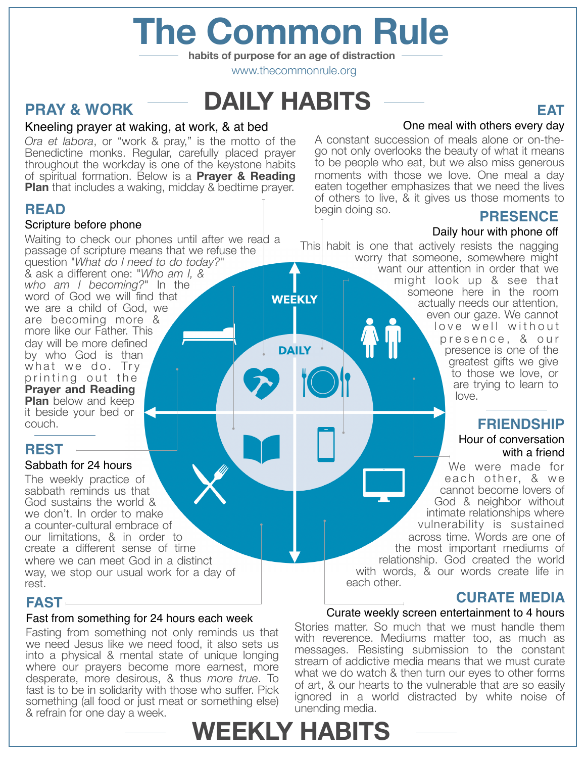# **The Common Rule**

**habits of purpose for an age of distraction**

www.thecommonrule.org

**DAILY** 

## **DAILY HABITS**

### **PRAY & WORK**

#### Kneeling prayer at waking, at work, & at bed

*Ora et labora*, or "work & pray," is the motto of the Benedictine monks. Regular, carefully placed prayer throughout the workday is one of the keystone habits of spiritual formation. Below is a **Prayer & Reading Plan** that includes a waking, midday & bedtime prayer.

#### **READ**

#### Scripture before phone

Waiting to check our phones until after we read a passage of scripture means that we refuse the question "*What do I need to do today?"* & ask a different one: "*Who am I, & who am I becoming?*" In the word of God we will find that we are a child of God, we are becoming more & more like our Father. This day will be more defined by who God is than what we do. Try printing out the **Prayer and Reading Plan** below and keep it beside your bed or couch.

#### **REST**

#### Sabbath for 24 hours

The weekly practice of sabbath reminds us that God sustains the world & we don't. In order to make a counter-cultural embrace of our limitations, & in order to create a different sense of time where we can meet God in a distinct way, we stop our usual work for a day of rest.

#### **FAST**

#### Fast from something for 24 hours each week

Fasting from something not only reminds us that we need Jesus like we need food, it also sets us into a physical & mental state of unique longing where our prayers become more earnest, more desperate, more desirous, & thus *more true*. To fast is to be in solidarity with those who suffer. Pick something (all food or just meat or something else) & refrain for one day a week.

#### One meal with others every day

A constant succession of meals alone or on-thego not only overlooks the beauty of what it means to be people who eat, but we also miss generous moments with those we love. One meal a day eaten together emphasizes that we need the lives of others to live, & it gives us those moments to begin doing so.

#### **PRESENCE**

**EAT**

#### Daily hour with phone off

This habit is one that actively resists the nagging worry that someone, somewhere might want our attention in order that we might look up & see that someone here in the room **WEEKLY** actually needs our attention, even our gaze. We cannot love well without presence, & our presence is one of the greatest gifts we give to those we love, or are trying to learn to love.

#### **FRIENDSHIP**

#### Hour of conversation with a friend

We were made for each other, & we cannot become lovers of God & neighbor without intimate relationships where vulnerability is sustained across time. Words are one of the most important mediums of relationship. God created the world with words, & our words create life in each other*.*

#### **CURATE MEDIA**

#### Curate weekly screen entertainment to 4 hours

Stories matter. So much that we must handle them with reverence. Mediums matter too, as much as messages. Resisting submission to the constant stream of addictive media means that we must curate what we do watch & then turn our eyes to other forms of art, & our hearts to the vulnerable that are so easily ignored in a world distracted by white noise of unending media.

# **WEEKLY HABITS**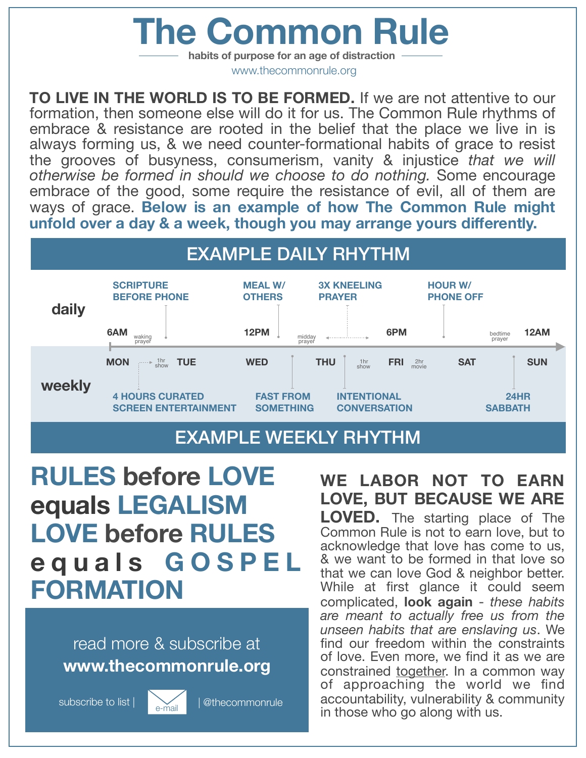# **The Common Rule**

**habits of purpose for an age of distraction** www.thecommonrule.org

**TO LIVE IN THE WORLD IS TO BE FORMED.** If we are not attentive to our formation, then someone else will do it for us. The Common Rule rhythms of embrace & resistance are rooted in the belief that the place we live in is always forming us, & we need counter-formational habits of grace to resist the grooves of busyness, consumerism, vanity & injustice *that we will otherwise be formed in should we choose to do nothing.* Some encourage embrace of the good, some require the resistance of evil, all of them are ways of grace. **Below is an example of how The Common Rule might unfold over a day & a week, though you may arrange yours differently.**



### EXAMPLE WEEKLY RHYTHM

**RULES before LOVE equals LEGALISM LOVE before RULES equals GOSPEL FORMATION**

### read more & subscribe at **[www.thecommonrule.org](http://www.thecommonrule.org)**

subscribe to list |  $\sqrt{a}$  | @thecommonrule



**WE LABOR NOT TO EARN LOVE, BUT BECAUSE WE ARE LOVED.** The starting place of The Common Rule is not to earn love, but to acknowledge that love has come to us, & we want to be formed in that love so that we can love God & neighbor better. While at first glance it could seem complicated, **look again** - *these habits are meant to actually free us from the unseen habits that are enslaving us*. We find our freedom within the constraints of love. Even more, we find it as we are constrained together. In a common way of approaching the world we find accountability, vulnerability & community in those who go along with us.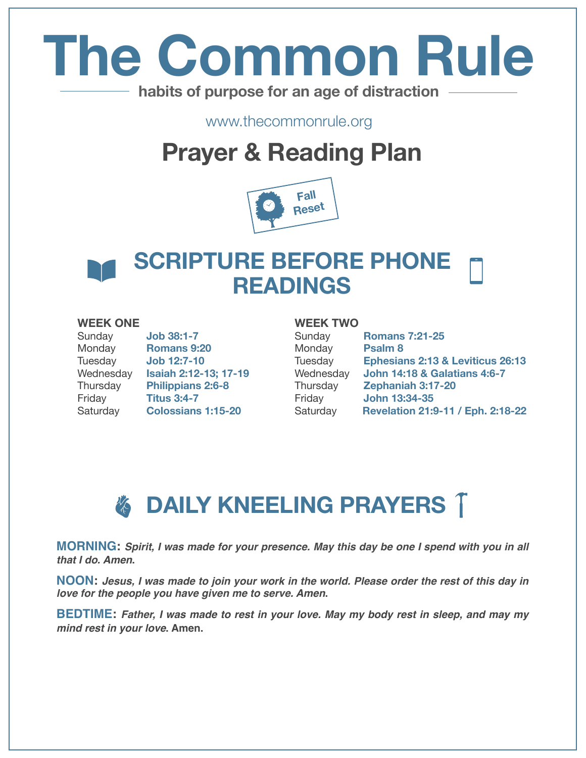# **The Common Rule habits of purpose for an age of distraction**

www.thecommonrule.org

# **Prayer & Reading Plan**



### **SCRIPTURE BEFORE PHONE READINGS**

#### **WEEK ONE**

| Sunday    | <b>Job 38:1-7</b>         |
|-----------|---------------------------|
| Monday    | Romans 9:20               |
| Tuesday   | <b>Job 12:7-10</b>        |
| Wednesday | Isaiah 2:12-13; 17-19     |
| Thursday  | <b>Philippians 2:6-8</b>  |
| Friday    | <b>Titus 3:4-7</b>        |
| Saturday  | <b>Colossians 1:15-20</b> |

### **WEEK TWO**

| Sunday    | <b>Romans 7:21-25</b>                   |
|-----------|-----------------------------------------|
| Monday    | Psalm <sub>8</sub>                      |
| Tuesday   | Ephesians 2:13 & Leviticus 26:13        |
| Wednesday | <b>John 14:18 &amp; Galatians 4:6-7</b> |
| Thursday  | Zephaniah 3:17-20                       |
| Friday    | John 13:34-35                           |
| Saturday  | Revelation 21:9-11 / Eph. 2:18-22       |
|           |                                         |

# *&* DAILY KNEELING PRAYERS T

**MORNING:** *Spirit, I was made for your presence. May this day be one I spend with you in all that I do. Amen***.**

**NOON:** *Jesus, I was made to join your work in the world. Please order the rest of this day in love for the people you have given me to serve. Amen***.**

**BEDTIME:** *Father, I was made to rest in your love. May my body rest in sleep, and may my mind rest in your love***. Amen.**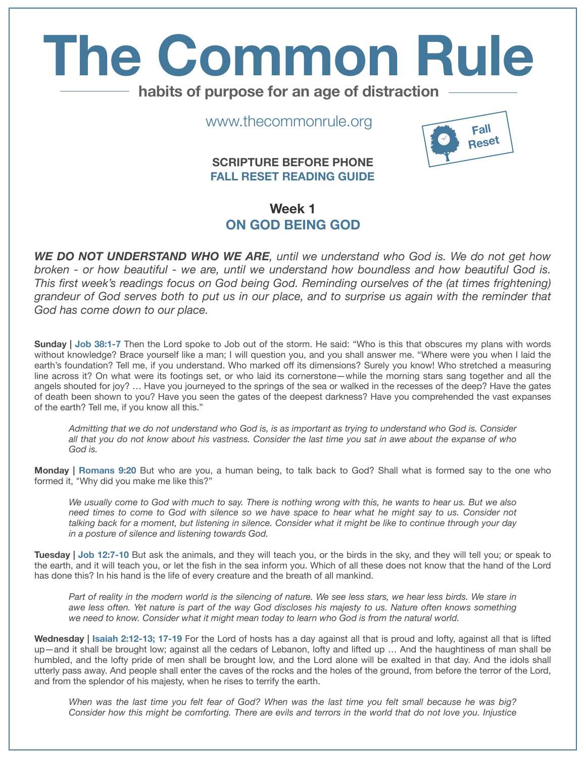# **The Common Rule habits of purpose for an age of distraction**

www.thecommonrule.org

#### **SCRIPTURE BEFORE PHONE FALL RESET READING GUIDE**



#### **Week 1 ON GOD BEING GOD**

*WE DO NOT UNDERSTAND WHO WE ARE, until we understand who God is. We do not get how broken - or how beautiful - we are, until we understand how boundless and how beautiful God is. This first week's readings focus on God being God. Reminding ourselves of the (at times frightening) grandeur of God serves both to put us in our place, and to surprise us again with the reminder that God has come down to our place.* 

**Sunday | Job 38:1-7** Then the Lord spoke to Job out of the storm. He said: "Who is this that obscures my plans with words without knowledge? Brace yourself like a man; I will question you, and you shall answer me. "Where were you when I laid the earth's foundation? Tell me, if you understand. Who marked off its dimensions? Surely you know! Who stretched a measuring line across it? On what were its footings set, or who laid its cornerstone—while the morning stars sang together and all the angels shouted for joy? … Have you journeyed to the springs of the sea or walked in the recesses of the deep? Have the gates of death been shown to you? Have you seen the gates of the deepest darkness? Have you comprehended the vast expanses of the earth? Tell me, if you know all this."

*Admitting that we do not understand who God is, is as important as trying to understand who God is. Consider all that you do not know about his vastness. Consider the last time you sat in awe about the expanse of who God is.* 

**Monday | Romans 9:20** But who are you, a human being, to talk back to God? Shall what is formed say to the one who formed it, "Why did you make me like this?"

*We usually come to God with much to say. There is nothing wrong with this, he wants to hear us. But we also need times to come to God with silence so we have space to hear what he might say to us. Consider not talking back for a moment, but listening in silence. Consider what it might be like to continue through your day in a posture of silence and listening towards God.*

**Tuesday | Job 12:7-10** But ask the animals, and they will teach you, or the birds in the sky, and they will tell you; or speak to the earth, and it will teach you, or let the fish in the sea inform you. Which of all these does not know that the hand of the Lord has done this? In his hand is the life of every creature and the breath of all mankind.

*Part of reality in the modern world is the silencing of nature. We see less stars, we hear less birds. We stare in awe less often. Yet nature is part of the way God discloses his majesty to us. Nature often knows something we need to know. Consider what it might mean today to learn who God is from the natural world.* 

**Wednesday | Isaiah 2:12-13; 17-19** For the Lord of hosts has a day against all that is proud and lofty, against all that is lifted up—and it shall be brought low; against all the cedars of Lebanon, lofty and lifted up … And the haughtiness of man shall be humbled, and the lofty pride of men shall be brought low, and the Lord alone will be exalted in that day. And the idols shall utterly pass away. And people shall enter the caves of the rocks and the holes of the ground, from before the terror of the Lord, and from the splendor of his majesty, when he rises to terrify the earth.

*When was the last time you felt fear of God? When was the last time you felt small because he was big? Consider how this might be comforting. There are evils and terrors in the world that do not love you. Injustice*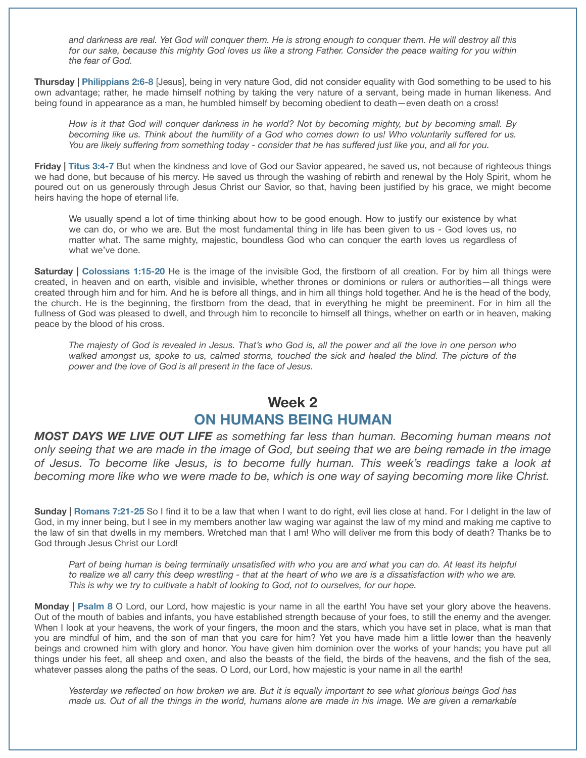*and darkness are real. Yet God will conquer them. He is strong enough to conquer them. He will destroy all this for our sake, because this mighty God loves us like a strong Father. Consider the peace waiting for you within the fear of God.* 

**Thursday | Philippians 2:6-8** [Jesus], being in very nature God, did not consider equality with God something to be used to his own advantage; rather, he made himself nothing by taking the very nature of a servant, being made in human likeness. And being found in appearance as a man, he humbled himself by becoming obedient to death—even death on a cross!

*How is it that God will conquer darkness in he world? Not by becoming mighty, but by becoming small. By becoming like us. Think about the humility of a God who comes down to us! Who voluntarily suffered for us. You are likely suffering from something today - consider that he has suffered just like you, and all for you.* 

**Friday | Titus 3:4-7** But when the kindness and love of God our Savior appeared, he saved us, not because of righteous things we had done, but because of his mercy. He saved us through the washing of rebirth and renewal by the Holy Spirit, whom he poured out on us generously through Jesus Christ our Savior, so that, having been justified by his grace, we might become heirs having the hope of eternal life.

We usually spend a lot of time thinking about how to be good enough. How to justify our existence by what we can do, or who we are. But the most fundamental thing in life has been given to us - God loves us, no matter what. The same mighty, majestic, boundless God who can conquer the earth loves us regardless of what we've done.

**Saturday | Colossians 1:15-20** He is the image of the invisible God, the firstborn of all creation. For by him all things were created, in heaven and on earth, visible and invisible, whether thrones or dominions or rulers or authorities—all things were created through him and for him. And he is before all things, and in him all things hold together. And he is the head of the body, the church. He is the beginning, the firstborn from the dead, that in everything he might be preeminent. For in him all the fullness of God was pleased to dwell, and through him to reconcile to himself all things, whether on earth or in heaven, making peace by the blood of his cross.

*The majesty of God is revealed in Jesus. That's who God is, all the power and all the love in one person who walked amongst us, spoke to us, calmed storms, touched the sick and healed the blind. The picture of the power and the love of God is all present in the face of Jesus.*

#### **Week 2 ON HUMANS BEING HUMAN**

*MOST DAYS WE LIVE OUT LIFE as something far less than human. Becoming human means not only seeing that we are made in the image of God, but seeing that we are being remade in the image of Jesus. To become like Jesus, is to become fully human. This week's readings take a look at becoming more like who we were made to be, which is one way of saying becoming more like Christ.* 

**Sunday | Romans 7:21-25** So I find it to be a law that when I want to do right, evil lies close at hand. For I delight in the law of God, in my inner being, but I see in my members another law waging war against the law of my mind and making me captive to the law of sin that dwells in my members. Wretched man that I am! Who will deliver me from this body of death? Thanks be to God through Jesus Christ our Lord!

Part of being human is being terminally unsatisfied with who you are and what you can do. At least its helpful to realize we all carry this deep wrestling - that at the heart of who we are is a dissatisfaction with who we are. *This is why we try to cultivate a habit of looking to God, not to ourselves, for our hope.* 

**Monday | Psalm 8** O Lord, our Lord, how majestic is your name in all the earth! You have set your glory above the heavens. Out of the mouth of babies and infants, you have established strength because of your foes, to still the enemy and the avenger. When I look at your heavens, the work of your fingers, the moon and the stars, which you have set in place, what is man that you are mindful of him, and the son of man that you care for him? Yet you have made him a little lower than the heavenly beings and crowned him with glory and honor. You have given him dominion over the works of your hands; you have put all things under his feet, all sheep and oxen, and also the beasts of the field, the birds of the heavens, and the fish of the sea, whatever passes along the paths of the seas. O Lord, our Lord, how majestic is your name in all the earth!

*Yesterday we reflected on how broken we are. But it is equally important to see what glorious beings God has made us. Out of all the things in the world, humans alone are made in his image. We are given a remarkable*